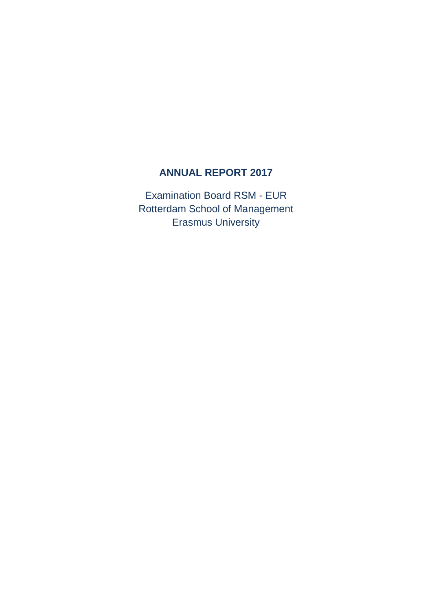## **ANNUAL REPORT 2017**

Examination Board RSM - EUR Rotterdam School of Management Erasmus University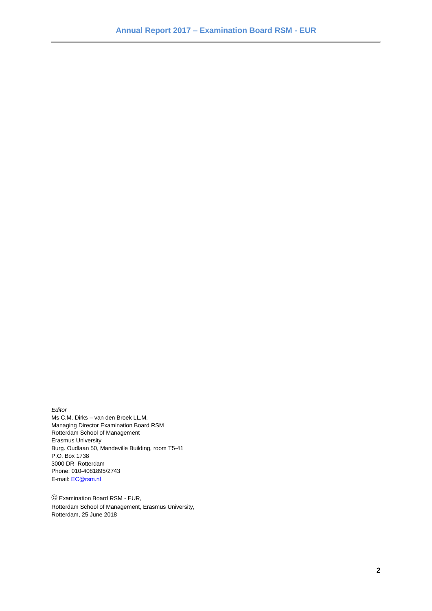*Editor*

Ms C.M. Dirks – van den Broek LL.M. Managing Director Examination Board RSM Rotterdam School of Management Erasmus University Burg. Oudlaan 50, Mandeville Building, room T5-41 P.O. Box 1738 3000 DR Rotterdam Phone: 010-4081895/2743 E-mail: [EC@rsm.nl](mailto:EC@rsm.nl)

© Examination Board RSM - EUR, Rotterdam School of Management, Erasmus University, Rotterdam, 25 June 2018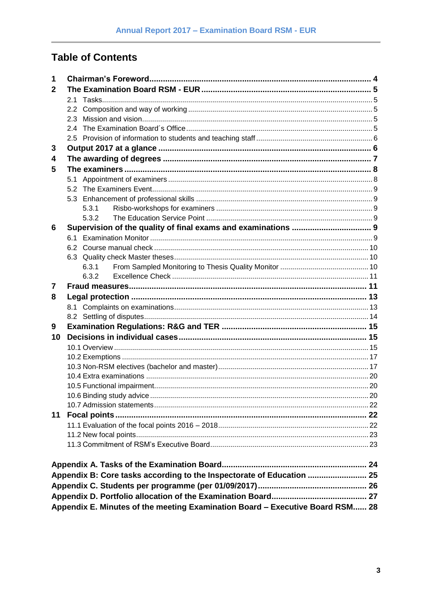# **Table of Contents**

| 1            |                                                                               |  |
|--------------|-------------------------------------------------------------------------------|--|
| $\mathbf{2}$ |                                                                               |  |
|              |                                                                               |  |
|              |                                                                               |  |
|              |                                                                               |  |
|              |                                                                               |  |
|              |                                                                               |  |
| 3            |                                                                               |  |
| 4            |                                                                               |  |
| 5            |                                                                               |  |
|              |                                                                               |  |
|              |                                                                               |  |
|              |                                                                               |  |
|              | 5.3.1                                                                         |  |
|              | 5.3.2                                                                         |  |
| 6            |                                                                               |  |
|              |                                                                               |  |
|              |                                                                               |  |
|              |                                                                               |  |
|              | 6.3.1                                                                         |  |
|              | 6.3.2                                                                         |  |
| 7            |                                                                               |  |
| 8            |                                                                               |  |
|              |                                                                               |  |
|              |                                                                               |  |
| 9            |                                                                               |  |
| 10           |                                                                               |  |
|              |                                                                               |  |
|              |                                                                               |  |
|              |                                                                               |  |
|              |                                                                               |  |
|              |                                                                               |  |
|              |                                                                               |  |
|              |                                                                               |  |
| 11           |                                                                               |  |
|              |                                                                               |  |
|              |                                                                               |  |
|              |                                                                               |  |
|              |                                                                               |  |
|              |                                                                               |  |
|              | Appendix B: Core tasks according to the Inspectorate of Education  25         |  |
|              |                                                                               |  |
|              |                                                                               |  |
|              | Appendix E. Minutes of the meeting Examination Board - Executive Board RSM 28 |  |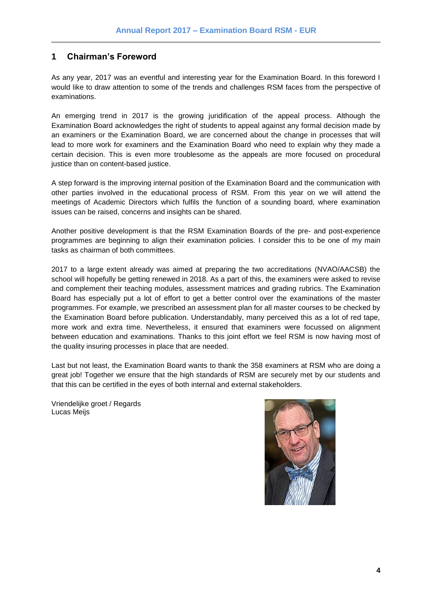## <span id="page-3-0"></span>**1 Chairman's Foreword**

As any year, 2017 was an eventful and interesting year for the Examination Board. In this foreword I would like to draw attention to some of the trends and challenges RSM faces from the perspective of examinations.

An emerging trend in 2017 is the growing juridification of the appeal process. Although the Examination Board acknowledges the right of students to appeal against any formal decision made by an examiners or the Examination Board, we are concerned about the change in processes that will lead to more work for examiners and the Examination Board who need to explain why they made a certain decision. This is even more troublesome as the appeals are more focused on procedural justice than on content-based justice.

A step forward is the improving internal position of the Examination Board and the communication with other parties involved in the educational process of RSM. From this year on we will attend the meetings of Academic Directors which fulfils the function of a sounding board, where examination issues can be raised, concerns and insights can be shared.

Another positive development is that the RSM Examination Boards of the pre- and post-experience programmes are beginning to align their examination policies. I consider this to be one of my main tasks as chairman of both committees.

2017 to a large extent already was aimed at preparing the two accreditations (NVAO/AACSB) the school will hopefully be getting renewed in 2018. As a part of this, the examiners were asked to revise and complement their teaching modules, assessment matrices and grading rubrics. The Examination Board has especially put a lot of effort to get a better control over the examinations of the master programmes. For example, we prescribed an assessment plan for all master courses to be checked by the Examination Board before publication. Understandably, many perceived this as a lot of red tape, more work and extra time. Nevertheless, it ensured that examiners were focussed on alignment between education and examinations. Thanks to this joint effort we feel RSM is now having most of the quality insuring processes in place that are needed.

Last but not least, the Examination Board wants to thank the 358 examiners at RSM who are doing a great job! Together we ensure that the high standards of RSM are securely met by our students and that this can be certified in the eyes of both internal and external stakeholders.

Vriendelijke groet / Regards Lucas Meijs

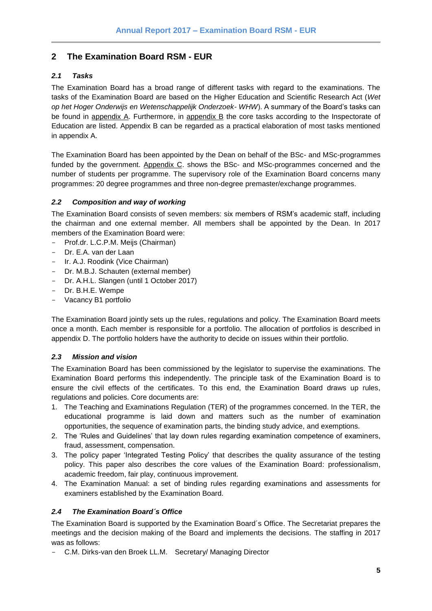## <span id="page-4-0"></span>**2 The Examination Board RSM - EUR**

#### <span id="page-4-1"></span>*2.1 Tasks*

The Examination Board has a broad range of different tasks with regard to the examinations. The tasks of the Examination Board are based on the Higher Education and Scientific Research Act (*Wet op het Hoger Onderwijs en Wetenschappelijk Onderzoek- WHW*). A summary of the Board's tasks can be found in appendix A. Furthermore, in appendix B the core tasks according to the Inspectorate of Education are listed. Appendix B can be regarded as a practical elaboration of most tasks mentioned in appendix A.

The Examination Board has been appointed by the Dean on behalf of the BSc- and MSc-programmes funded by the government. Appendix C. shows the BSc- and MSc-programmes concerned and the number of students per programme. The supervisory role of the Examination Board concerns many programmes: 20 degree programmes and three non-degree premaster/exchange programmes.

#### <span id="page-4-2"></span>*2.2 Composition and way of working*

The Examination Board consists of seven members: six members of RSM's academic staff, including the chairman and one external member. All members shall be appointed by the Dean. In 2017 members of the Examination Board were:

- Prof.dr. L.C.P.M. Meijs (Chairman)
- Dr. E.A. van der Laan
- Ir. A.J. Roodink (Vice Chairman)
- Dr. M.B.J. Schauten (external member)
- Dr. A.H.L. Slangen (until 1 October 2017)
- Dr. B.H.E. Wempe
- Vacancy B1 portfolio

The Examination Board jointly sets up the rules, regulations and policy. The Examination Board meets once a month. Each member is responsible for a portfolio. The allocation of portfolios is described in appendix D. The portfolio holders have the authority to decide on issues within their portfolio.

#### <span id="page-4-3"></span>*2.3 Mission and vision*

The Examination Board has been commissioned by the legislator to supervise the examinations. The Examination Board performs this independently. The principle task of the Examination Board is to ensure the civil effects of the certificates. To this end, the Examination Board draws up rules, regulations and policies. Core documents are:

- 1. The Teaching and Examinations Regulation (TER) of the programmes concerned. In the TER, the educational programme is laid down and matters such as the number of examination opportunities, the sequence of examination parts, the binding study advice, and exemptions.
- 2. The 'Rules and Guidelines' that lay down rules regarding examination competence of examiners, fraud, assessment, compensation.
- 3. The policy paper 'Integrated Testing Policy' that describes the quality assurance of the testing policy. This paper also describes the core values of the Examination Board: professionalism, academic freedom, fair play, continuous improvement.
- 4. The Examination Manual: a set of binding rules regarding examinations and assessments for examiners established by the Examination Board.

#### <span id="page-4-4"></span>*2.4 The Examination Board´s Office*

The Examination Board is supported by the Examination Board´s Office. The Secretariat prepares the meetings and the decision making of the Board and implements the decisions. The staffing in 2017 was as follows:

C.M. Dirks-van den Broek LL.M. Secretary/ Managing Director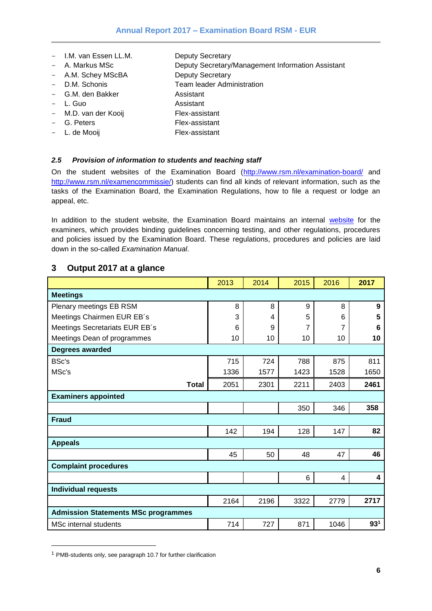- I.M. van Essen LL.M. Deputy Secretary
- A. Markus MSc **Deputy Secretary/Management Information Assistant**
- A.M. Schey MScBA Deputy Secretary
- D.M. Schonis Team leader Administration
- G.M. den Bakker Assistant
- L. Guo **Assistant**
- M.D. van der Kooij Flex-assistant
- G. Peters Flex-assistant
- L. de Mooij **Flex-assistant**

#### <span id="page-5-0"></span>*2.5 Provision of information to students and teaching staff*

On the student websites of the Examination Board [\(http://www.rsm.nl/examination-board/](http://www.rsm.nl/examination-board/) and [http://www.rsm.nl/examencommissie/\)](http://www.rsm.nl/examencommissie/) students can find all kinds of relevant information, such as the tasks of the Examination Board, the Examination Regulations, how to file a request or lodge an appeal, etc.

In addition to the student [website](https://www.rsm.nl/examination-manual/), the Examination Board maintains an internal website for the examiners, which provides binding guidelines concerning testing, and other regulations, procedures and policies issued by the Examination Board. These regulations, procedures and policies are laid down in the so-called *Examination Manual*.

#### <span id="page-5-1"></span>**3 Output 2017 at a glance**

|                                            | 2013 | 2014 | 2015 | 2016 | 2017             |
|--------------------------------------------|------|------|------|------|------------------|
| <b>Meetings</b>                            |      |      |      |      |                  |
| Plenary meetings EB RSM                    | 8    | 8    | 9    | 8    | $\boldsymbol{9}$ |
| Meetings Chairmen EUR EB's                 | 3    | 4    | 5    | 6    | 5                |
| Meetings Secretariats EUR EB's             | 6    | 9    | 7    | 7    | 6                |
| Meetings Dean of programmes                | 10   | 10   | 10   | 10   | 10               |
| Degrees awarded                            |      |      |      |      |                  |
| <b>BSc's</b>                               | 715  | 724  | 788  | 875  | 811              |
| MSc's                                      | 1336 | 1577 | 1423 | 1528 | 1650             |
| <b>Total</b>                               | 2051 | 2301 | 2211 | 2403 | 2461             |
| <b>Examiners appointed</b>                 |      |      |      |      |                  |
|                                            |      |      | 350  | 346  | 358              |
| <b>Fraud</b>                               |      |      |      |      |                  |
|                                            | 142  | 194  | 128  | 147  | 82               |
| <b>Appeals</b>                             |      |      |      |      |                  |
|                                            | 45   | 50   | 48   | 47   | 46               |
| <b>Complaint procedures</b>                |      |      |      |      |                  |
|                                            |      |      | 6    | 4    | 4                |
| <b>Individual requests</b>                 |      |      |      |      |                  |
|                                            | 2164 | 2196 | 3322 | 2779 | 2717             |
| <b>Admission Statements MSc programmes</b> |      |      |      |      |                  |
| MSc internal students                      | 714  | 727  | 871  | 1046 | 93 <sup>1</sup>  |

<sup>1</sup> PMB-students only, see paragraph 10.7 for further clarification

l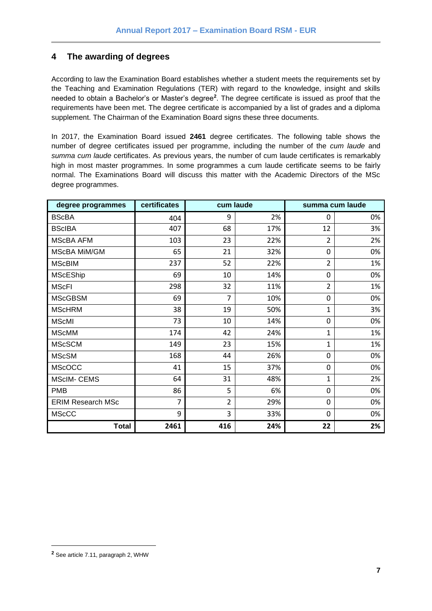## <span id="page-6-0"></span>**4 The awarding of degrees**

According to law the Examination Board establishes whether a student meets the requirements set by the Teaching and Examination Regulations (TER) with regard to the knowledge, insight and skills needed to obtain a Bachelor's or Master's degree**<sup>2</sup>** . The degree certificate is issued as proof that the requirements have been met. The degree certificate is accompanied by a list of grades and a diploma supplement. The Chairman of the Examination Board signs these three documents.

In 2017, the Examination Board issued **2461** degree certificates. The following table shows the number of degree certificates issued per programme, including the number of the *cum laude* and *summa cum laude* certificates. As previous years, the number of cum laude certificates is remarkably high in most master programmes. In some programmes a cum laude certificate seems to be fairly normal. The Examinations Board will discuss this matter with the Academic Directors of the MSc degree programmes.

| degree programmes        | certificates |                | cum laude | summa cum laude |    |
|--------------------------|--------------|----------------|-----------|-----------------|----|
| <b>BScBA</b>             | 404          | 9              | 2%        | 0               | 0% |
| <b>BScIBA</b>            | 407          | 68             | 17%       | 12              | 3% |
| <b>MScBA AFM</b>         | 103          | 23             | 22%       | $\overline{2}$  | 2% |
| MScBA MiM/GM             | 65           | 21             | 32%       | $\mathbf 0$     | 0% |
| <b>MScBIM</b>            | 237          | 52             | 22%       | $\overline{2}$  | 1% |
| <b>MScEShip</b>          | 69           | 10             | 14%       | 0               | 0% |
| <b>MScFI</b>             | 298          | 32             | 11%       | $\overline{2}$  | 1% |
| <b>MScGBSM</b>           | 69           | 7              | 10%       | 0               | 0% |
| <b>MScHRM</b>            | 38           | 19             | 50%       | $\mathbf{1}$    | 3% |
| <b>MScMI</b>             | 73           | 10             | 14%       | $\mathbf 0$     | 0% |
| <b>MScMM</b>             | 174          | 42             | 24%       | $\mathbf{1}$    | 1% |
| <b>MScSCM</b>            | 149          | 23             | 15%       | $\mathbf{1}$    | 1% |
| <b>MScSM</b>             | 168          | 44             | 26%       | $\mathbf 0$     | 0% |
| <b>MScOCC</b>            | 41           | 15             | 37%       | 0               | 0% |
| <b>MScIM- CEMS</b>       | 64           | 31             | 48%       | $\mathbf{1}$    | 2% |
| <b>PMB</b>               | 86           | 5              | 6%        | $\mathbf 0$     | 0% |
| <b>ERIM Research MSc</b> | 7            | $\overline{2}$ | 29%       | 0               | 0% |
| <b>MScCC</b>             | 9            | 3              | 33%       | 0               | 0% |
| <b>Total</b>             | 2461         | 416            | 24%       | 22              | 2% |

l

**<sup>2</sup>** See article 7.11, paragraph 2, WHW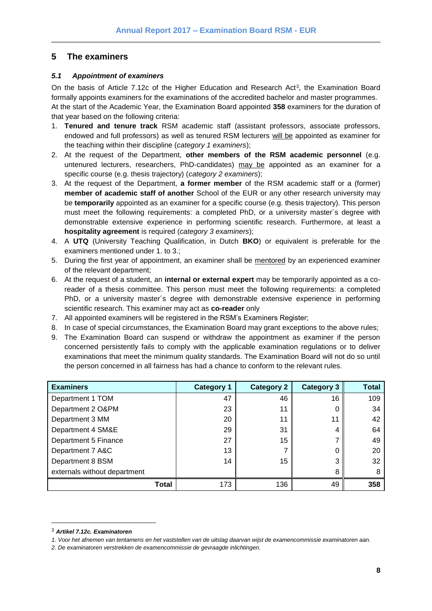## <span id="page-7-0"></span>**5 The examiners**

#### <span id="page-7-1"></span>*5.1 Appointment of examiners*

On the basis of Article 7.12c of the Higher Education and Research Act<sup>3</sup>, the Examination Board formally appoints examiners for the examinations of the accredited bachelor and master programmes. At the start of the Academic Year, the Examination Board appointed **358** examiners for the duration of that year based on the following criteria:

- 1. **Tenured and tenure track** RSM academic staff (assistant professors, associate professors, endowed and full professors) as well as tenured RSM lecturers will be appointed as examiner for the teaching within their discipline (*category 1 examiners*);
- 2. At the request of the Department, **other members of the RSM academic personnel** (e.g. untenured lecturers, researchers, PhD-candidates) may be appointed as an examiner for a specific course (e.g. thesis trajectory) (*category 2 examiners*);
- 3. At the request of the Department, **a former member** of the RSM academic staff or a (former) **member of academic staff of another** School of the EUR or any other research university may be **temporarily** appointed as an examiner for a specific course (e.g. thesis trajectory). This person must meet the following requirements: a completed PhD, or a university master´s degree with demonstrable extensive experience in performing scientific research. Furthermore, at least a **hospitality agreement** is required (*category 3 examiners*);
- 4. A **UTQ** (University Teaching Qualification, in Dutch **BKO**) or equivalent is preferable for the examiners mentioned under 1. to 3.;
- 5. During the first year of appointment, an examiner shall be mentored by an experienced examiner of the relevant department;
- 6. At the request of a student, an **internal or external expert** may be temporarily appointed as a coreader of a thesis committee. This person must meet the following requirements: a completed PhD, or a university master´s degree with demonstrable extensive experience in performing scientific research. This examiner may act as **co-reader** only
- 7. All appointed examiners will be registered in the RSM's Examiners Register;
- 8. In case of special circumstances, the Examination Board may grant exceptions to the above rules;
- 9. The Examination Board can suspend or withdraw the appointment as examiner if the person concerned persistently fails to comply with the applicable examination regulations or to deliver examinations that meet the minimum quality standards. The Examination Board will not do so until the person concerned in all fairness has had a chance to conform to the relevant rules.

| <b>Examiners</b>             | <b>Category 1</b> | <b>Category 2</b> | <b>Category 3</b> | Total |
|------------------------------|-------------------|-------------------|-------------------|-------|
| Department 1 TOM             | 47                | 46                | 16                | 109   |
| Department 2 O&PM            | 23                | 11                | 0                 | 34    |
| Department 3 MM              | 20                | 11                | 11                | 42    |
| Department 4 SM&E            | 29                | 31                | 4                 | 64    |
| Department 5 Finance         | 27                | 15                | 7                 | 49    |
| Department 7 A&C             | 13                |                   | 0                 | 20    |
| Department 8 BSM             | 14                | 15                | 3                 | 32    |
| externals without department |                   |                   | 8                 | 8     |
| Total                        | 173               | 136               | 49                | 358   |

l

<sup>3</sup> *Artikel 7.12c. Examinatoren* 

*<sup>1.</sup> Voor het afnemen van tentamens en het vaststellen van de uitslag daarvan wijst de examencommissie examinatoren aan.* 

*<sup>2.</sup> De examinatoren verstrekken de examencommissie de gevraagde inlichtingen.*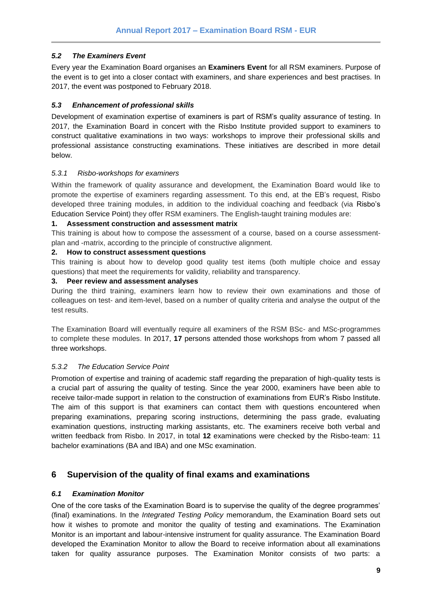#### <span id="page-8-0"></span>*5.2 The Examiners Event*

Every year the Examination Board organises an **Examiners Event** for all RSM examiners. Purpose of the event is to get into a closer contact with examiners, and share experiences and best practises. In 2017, the event was postponed to February 2018.

#### <span id="page-8-1"></span>*5.3 Enhancement of professional skills*

Development of examination expertise of examiners is part of RSM's quality assurance of testing. In 2017, the Examination Board in concert with the Risbo Institute provided support to examiners to construct qualitative examinations in two ways: workshops to improve their professional skills and professional assistance constructing examinations. These initiatives are described in more detail below.

#### <span id="page-8-2"></span>*5.3.1 Risbo-workshops for examiners*

Within the framework of quality assurance and development, the Examination Board would like to promote the expertise of examiners regarding assessment. To this end, at the EB's request, Risbo developed three training modules, in addition to the individual coaching and feedback (via Risbo's Education Service Point) they offer RSM examiners. The English-taught training modules are:

#### **1. Assessment construction and assessment matrix**

This training is about how to compose the assessment of a course, based on a course assessmentplan and -matrix, according to the principle of constructive alignment.

#### **2. How to construct assessment questions**

This training is about how to develop good quality test items (both multiple choice and essay questions) that meet the requirements for validity, reliability and transparency.

#### **3. Peer review and assessment analyses**

During the third training, examiners learn how to review their own examinations and those of colleagues on test- and item-level, based on a number of quality criteria and analyse the output of the test results.

The Examination Board will eventually require all examiners of the RSM BSc- and MSc-programmes to complete these modules. In 2017, **17** persons attended those workshops from whom 7 passed all three workshops.

## <span id="page-8-3"></span>*5.3.2 The Education Service Point*

Promotion of expertise and training of academic staff regarding the preparation of high-quality tests is a crucial part of assuring the quality of testing. Since the year 2000, examiners have been able to receive tailor-made support in relation to the construction of examinations from EUR's Risbo Institute. The aim of this support is that examiners can contact them with questions encountered when preparing examinations, preparing scoring instructions, determining the pass grade, evaluating examination questions, instructing marking assistants, etc. The examiners receive both verbal and written feedback from Risbo. In 2017, in total **12** examinations were checked by the Risbo-team: 11 bachelor examinations (BA and IBA) and one MSc examination.

## <span id="page-8-4"></span>**6 Supervision of the quality of final exams and examinations**

## <span id="page-8-5"></span>*6.1 Examination Monitor*

One of the core tasks of the Examination Board is to supervise the quality of the degree programmes' (final) examinations. In the *Integrated Testing Policy* memorandum, the Examination Board sets out how it wishes to promote and monitor the quality of testing and examinations. The Examination Monitor is an important and labour-intensive instrument for quality assurance. The Examination Board developed the Examination Monitor to allow the Board to receive information about all examinations taken for quality assurance purposes. The Examination Monitor consists of two parts: a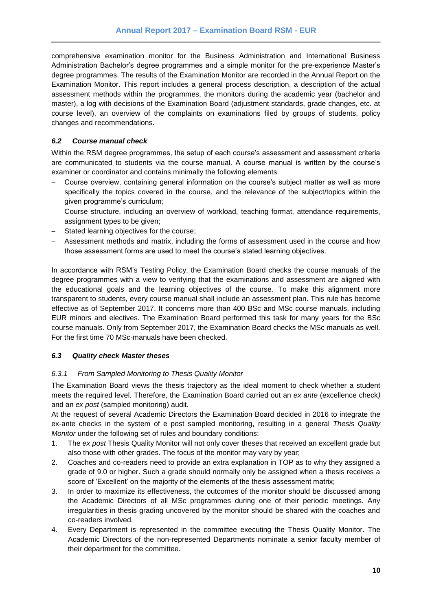comprehensive examination monitor for the Business Administration and International Business Administration Bachelor's degree programmes and a simple monitor for the pre-experience Master's degree programmes. The results of the Examination Monitor are recorded in the Annual Report on the Examination Monitor. This report includes a general process description, a description of the actual assessment methods within the programmes, the monitors during the academic year (bachelor and master), a log with decisions of the Examination Board (adjustment standards, grade changes, etc. at course level), an overview of the complaints on examinations filed by groups of students, policy changes and recommendations.

#### <span id="page-9-0"></span>*6.2 Course manual check*

Within the RSM degree programmes, the setup of each course's assessment and assessment criteria are communicated to students via the course manual. A course manual is written by the course's examiner or coordinator and contains minimally the following elements:

- Course overview, containing general information on the course's subject matter as well as more specifically the topics covered in the course, and the relevance of the subject/topics within the given programme's curriculum;
- Course structure, including an overview of workload, teaching format, attendance requirements, assignment types to be given;
- Stated learning objectives for the course;
- Assessment methods and matrix, including the forms of assessment used in the course and how those assessment forms are used to meet the course's stated learning objectives.

In accordance with RSM's Testing Policy, the Examination Board checks the course manuals of the degree programmes with a view to verifying that the examinations and assessment are aligned with the educational goals and the learning objectives of the course. To make this alignment more transparent to students, every course manual shall include an assessment plan. This rule has become effective as of September 2017. It concerns more than 400 BSc and MSc course manuals, including EUR minors and electives. The Examination Board performed this task for many years for the BSc course manuals. Only from September 2017, the Examination Board checks the MSc manuals as well. For the first time 70 MSc-manuals have been checked.

#### <span id="page-9-1"></span>*6.3 Quality check Master theses*

#### <span id="page-9-2"></span>*6.3.1 From Sampled Monitoring to Thesis Quality Monitor*

The Examination Board views the thesis trajectory as the ideal moment to check whether a student meets the required level. Therefore, the Examination Board carried out an *ex ante* (excellence check*)* and an *ex post* (sampled monitoring) audit.

At the request of several Academic Directors the Examination Board decided in 2016 to integrate the ex-ante checks in the system of e post sampled monitoring, resulting in a general *Thesis Quality Monitor* under the following set of rules and boundary conditions:

- 1. The *ex post* Thesis Quality Monitor will not only cover theses that received an excellent grade but also those with other grades. The focus of the monitor may vary by year;
- 2. Coaches and co-readers need to provide an extra explanation in TOP as to why they assigned a grade of 9.0 or higher. Such a grade should normally only be assigned when a thesis receives a score of 'Excellent' on the majority of the elements of the thesis assessment matrix;
- 3. In order to maximize its effectiveness, the outcomes of the monitor should be discussed among the Academic Directors of all MSc programmes during one of their periodic meetings. Any irregularities in thesis grading uncovered by the monitor should be shared with the coaches and co-readers involved.
- 4. Every Department is represented in the committee executing the Thesis Quality Monitor. The Academic Directors of the non-represented Departments nominate a senior faculty member of their department for the committee.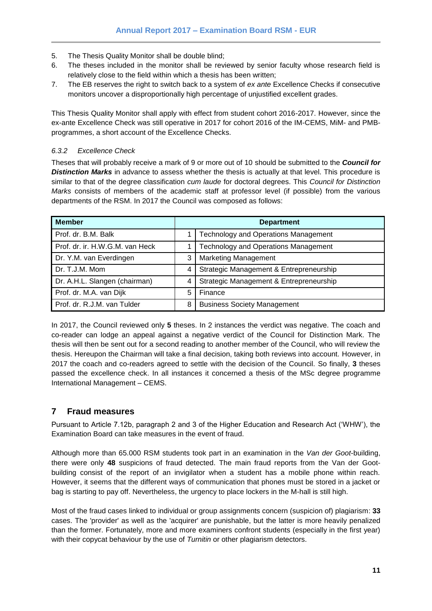- 5. The Thesis Quality Monitor shall be double blind;
- 6. The theses included in the monitor shall be reviewed by senior faculty whose research field is relatively close to the field within which a thesis has been written;
- 7. The EB reserves the right to switch back to a system of *ex ante* Excellence Checks if consecutive monitors uncover a disproportionally high percentage of unjustified excellent grades.

This Thesis Quality Monitor shall apply with effect from student cohort 2016-2017. However, since the ex-ante Excellence Check was still operative in 2017 for cohort 2016 of the IM-CEMS, MiM- and PMBprogrammes, a short account of the Excellence Checks.

#### <span id="page-10-0"></span>*6.3.2 Excellence Check*

Theses that will probably receive a mark of 9 or more out of 10 should be submitted to the *Council for*  **Distinction Marks** in advance to assess whether the thesis is actually at that level. This procedure is similar to that of the degree classification *cum laude* for doctoral degrees. This *Council for Distinction Marks* consists of members of the academic staff at professor level (if possible) from the various departments of the RSM. In 2017 the Council was composed as follows:

| <b>Member</b>                   |                | <b>Department</b>                           |
|---------------------------------|----------------|---------------------------------------------|
| Prof. dr. B.M. Balk             |                | <b>Technology and Operations Management</b> |
| Prof. dr. ir. H.W.G.M. van Heck |                | <b>Technology and Operations Management</b> |
| Dr. Y.M. van Everdingen         | 3              | <b>Marketing Management</b>                 |
| Dr. T.J.M. Mom                  | 4              | Strategic Management & Entrepreneurship     |
| Dr. A.H.L. Slangen (chairman)   | $\overline{4}$ | Strategic Management & Entrepreneurship     |
| Prof. dr. M.A. van Dijk         | 5              | Finance                                     |
| Prof. dr. R.J.M. van Tulder     | 8              | <b>Business Society Management</b>          |

In 2017, the Council reviewed only **5** theses. In 2 instances the verdict was negative. The coach and co-reader can lodge an appeal against a negative verdict of the Council for Distinction Mark. The thesis will then be sent out for a second reading to another member of the Council, who will review the thesis. Hereupon the Chairman will take a final decision, taking both reviews into account. However, in 2017 the coach and co-readers agreed to settle with the decision of the Council. So finally, **3** theses passed the excellence check. In all instances it concerned a thesis of the MSc degree programme International Management – CEMS.

## <span id="page-10-1"></span>**7 Fraud measures**

Pursuant to Article 7.12b, paragraph 2 and 3 of the Higher Education and Research Act ('WHW'), the Examination Board can take measures in the event of fraud.

Although more than 65.000 RSM students took part in an examination in the *Van der Goot*-building, there were only **48** suspicions of fraud detected. The main fraud reports from the Van der Gootbuilding consist of the report of an invigilator when a student has a mobile phone within reach. However, it seems that the different ways of communication that phones must be stored in a jacket or bag is starting to pay off. Nevertheless, the urgency to place lockers in the M-hall is still high.

Most of the fraud cases linked to individual or group assignments concern (suspicion of) plagiarism: **33** cases. The 'provider' as well as the 'acquirer' are punishable, but the latter is more heavily penalized than the former. Fortunately, more and more examiners confront students (especially in the first year) with their copycat behaviour by the use of *Turnitin* or other plagiarism detectors.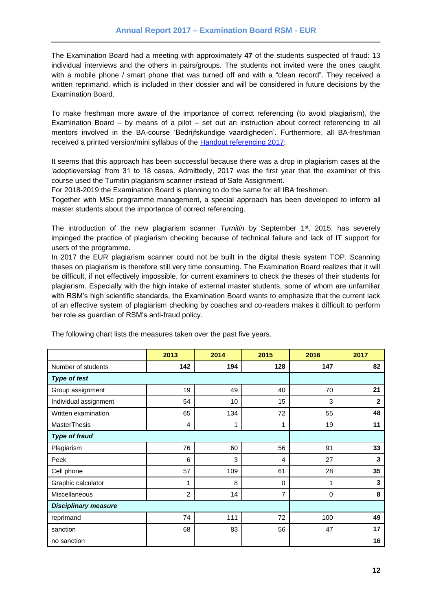The Examination Board had a meeting with approximately **47** of the students suspected of fraud: 13 individual interviews and the others in pairs/groups. The students not invited were the ones caught with a mobile phone / smart phone that was turned off and with a "clean record". They received a written reprimand, which is included in their dossier and will be considered in future decisions by the Examination Board.

To make freshman more aware of the importance of correct referencing (to avoid plagiarism), the Examination Board – by means of a pilot – set out an instruction about correct referencing to all mentors involved in the BA-course 'Bedrijfskundige vaardigheden'. Furthermore, all BA-freshman received a printed version/mini syllabus of the **Handout referencing 2017:** 

It seems that this approach has been successful because there was a drop in plagiarism cases at the 'adoptieverslag' from 31 to 18 cases. Admittedly, 2017 was the first year that the examiner of this course used the Turnitin plagiarism scanner instead of Safe Assignment.

For 2018-2019 the Examination Board is planning to do the same for all IBA freshmen.

Together with MSc programme management, a special approach has been developed to inform all master students about the importance of correct referencing.

The introduction of the new plagiarism scanner *Turnitin* by September 1st, 2015, has severely impinged the practice of plagiarism checking because of technical failure and lack of IT support for users of the programme.

In 2017 the EUR plagiarism scanner could not be built in the digital thesis system TOP. Scanning theses on plagiarism is therefore still very time consuming. The Examination Board realizes that it will be difficult, if not effectively impossible, for current examiners to check the theses of their students for plagiarism. Especially with the high intake of external master students, some of whom are unfamiliar with RSM's high scientific standards, the Examination Board wants to emphasize that the current lack of an effective system of plagiarism checking by coaches and co-readers makes it difficult to perform her role as guardian of RSM's anti-fraud policy.

|                             | 2013           | 2014            | 2015           | 2016     | 2017         |
|-----------------------------|----------------|-----------------|----------------|----------|--------------|
| Number of students          | 142            | 194             | 128            | 147      | 82           |
| <b>Type of test</b>         |                |                 |                |          |              |
| Group assignment            | 19             | 49              | 40             | 70       | 21           |
| Individual assignment       | 54             | 10 <sup>1</sup> | 15             | 3        | $\mathbf{2}$ |
| Written examination         | 65             | 134             | 72             | 55       | 48           |
| <b>MasterThesis</b>         | $\overline{4}$ | $\mathbf{1}$    | 1              | 19       | 11           |
| <b>Type of fraud</b>        |                |                 |                |          |              |
| Plagiarism                  | 76             | 60              | 56             | 91       | 33           |
| Peek                        | 6              | 3               | $\overline{4}$ | 27       | $\mathbf{3}$ |
| Cell phone                  | 57             | 109             | 61             | 28       | 35           |
| Graphic calculator          | 1              | 8               | 0              | 1        | 3            |
| Miscellaneous               | $\overline{2}$ | 14              | 7              | $\Omega$ | 8            |
| <b>Disciplinary measure</b> |                |                 |                |          |              |
| reprimand                   | 74             | 111             | 72             | 100      | 49           |
| sanction                    | 68             | 83              | 56             | 47       | 17           |
| no sanction                 |                |                 |                |          | 16           |

The following chart lists the measures taken over the past five years.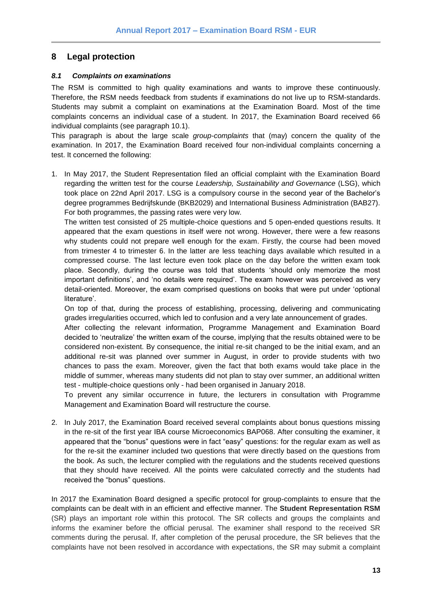## <span id="page-12-0"></span>**8 Legal protection**

#### <span id="page-12-1"></span>*8.1 Complaints on examinations*

The RSM is committed to high quality examinations and wants to improve these continuously. Therefore, the RSM needs feedback from students if examinations do not live up to RSM-standards. Students may submit a complaint on examinations at the Examination Board. Most of the time complaints concerns an individual case of a student. In 2017, the Examination Board received 66 individual complaints (see paragraph 10.1).

This paragraph is about the large scale *group-complaints* that (may) concern the quality of the examination. In 2017, the Examination Board received four non-individual complaints concerning a test. It concerned the following:

1. In May 2017, the Student Representation filed an official complaint with the Examination Board regarding the written test for the course *Leadership, Sustainability and Governance* (LSG), which took place on 22nd April 2017. LSG is a compulsory course in the second year of the Bachelor's degree programmes Bedrijfskunde (BKB2029) and International Business Administration (BAB27). For both programmes, the passing rates were very low.

The written test consisted of 25 multiple-choice questions and 5 open-ended questions results. It appeared that the exam questions in itself were not wrong. However, there were a few reasons why students could not prepare well enough for the exam. Firstly, the course had been moved from trimester 4 to trimester 6. In the latter are less teaching days available which resulted in a compressed course. The last lecture even took place on the day before the written exam took place. Secondly, during the course was told that students 'should only memorize the most important definitions', and 'no details were required'. The exam however was perceived as very detail-oriented. Moreover, the exam comprised questions on books that were put under 'optional literature'.

On top of that, during the process of establishing, processing, delivering and communicating grades irregularities occurred, which led to confusion and a very late announcement of grades.

After collecting the relevant information, Programme Management and Examination Board decided to 'neutralize' the written exam of the course, implying that the results obtained were to be considered non-existent. By consequence, the initial re-sit changed to be the initial exam, and an additional re-sit was planned over summer in August, in order to provide students with two chances to pass the exam. Moreover, given the fact that both exams would take place in the middle of summer, whereas many students did not plan to stay over summer, an additional written test - multiple-choice questions only - had been organised in January 2018.

To prevent any similar occurrence in future, the lecturers in consultation with Programme Management and Examination Board will restructure the course.

2. In July 2017, the Examination Board received several complaints about bonus questions missing in the re-sit of the first year IBA course Microeconomics BAP068. After consulting the examiner, it appeared that the "bonus" questions were in fact "easy" questions: for the regular exam as well as for the re-sit the examiner included two questions that were directly based on the questions from the book. As such, the lecturer complied with the regulations and the students received questions that they should have received. All the points were calculated correctly and the students had received the "bonus" questions.

In 2017 the Examination Board designed a specific protocol for group-complaints to ensure that the complaints can be dealt with in an efficient and effective manner. The **Student Representation RSM** (SR) plays an important role within this protocol. The SR collects and groups the complaints and informs the examiner before the official perusal. The examiner shall respond to the received SR comments during the perusal. If, after completion of the perusal procedure, the SR believes that the complaints have not been resolved in accordance with expectations, the SR may submit a complaint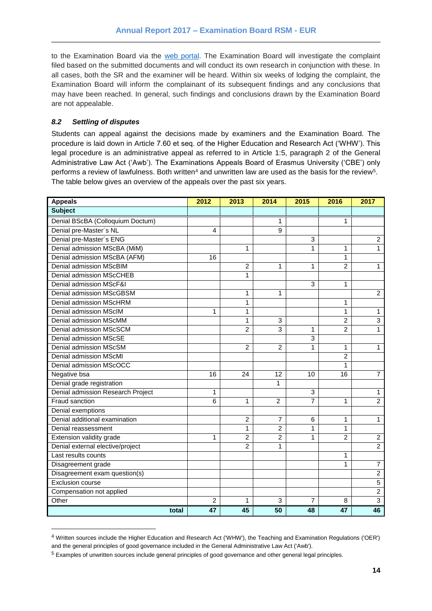to the Examination Board via the [web portal.](https://request-eb.rsm.nl/) The Examination Board will investigate the complaint filed based on the submitted documents and will conduct its own research in conjunction with these. In all cases, both the SR and the examiner will be heard. Within six weeks of lodging the complaint, the Examination Board will inform the complainant of its subsequent findings and any conclusions that may have been reached. In general, such findings and conclusions drawn by the Examination Board are not appealable.

#### <span id="page-13-0"></span>*8.2 Settling of disputes*

l

Students can appeal against the decisions made by examiners and the Examination Board. The procedure is laid down in Article 7.60 et seq. of the Higher Education and Research Act ('WHW'). This legal procedure is an administrative appeal as referred to in Article 1:5, paragraph 2 of the General Administrative Law Act ('Awb'). The Examinations Appeals Board of Erasmus University ('CBE') only performs a review of lawfulness. Both written $^4$  and unwritten law are used as the basis for the review $^5\!$ The table below gives an overview of the appeals over the past six years.

| <b>Appeals</b>                    | 2012           | 2013           | 2014           | 2015           | 2016           | 2017           |
|-----------------------------------|----------------|----------------|----------------|----------------|----------------|----------------|
| <b>Subject</b>                    |                |                |                |                |                |                |
| Denial BScBA (Colloquium Doctum)  |                |                | 1              |                | 1              |                |
| Denial pre-Master's NL            | 4              |                | 9              |                |                |                |
| Denial pre-Master's ENG           |                |                |                | 3              |                | $\overline{2}$ |
| Denial admission MScBA (MiM)      |                | 1              |                | 1              | 1              | $\mathbf{1}$   |
| Denial admission MScBA (AFM)      | 16             |                |                |                | 1              |                |
| Denial admission MScBIM           |                | $\overline{2}$ | 1              | 1              | $\overline{c}$ | 1              |
| Denial admission MScCHEB          |                | $\mathbf{1}$   |                |                |                |                |
| Denial admission MScF&I           |                |                |                | 3              | 1              |                |
| Denial admission MScGBSM          |                | 1              | 1              |                |                | $\overline{2}$ |
| Denial admission MScHRM           |                | $\mathbf{1}$   |                |                | 1              |                |
| Denial admission MScIM            | 1              | $\mathbf{1}$   |                |                | 1              | 1              |
| Denial admission MScMM            |                | $\mathbf{1}$   | 3              |                | $\overline{2}$ | 3              |
| Denial admission MScSCM           |                | $\overline{2}$ | $\overline{3}$ | 1              | $\overline{2}$ | 1              |
| Denial admission MScSE            |                |                |                | $\overline{3}$ |                |                |
| Denial admission MScSM            |                | $\overline{2}$ | $\overline{2}$ | 1              | 1              | 1              |
| Denial admission MScMI            |                |                |                |                | $\overline{2}$ |                |
| Denial admission MScOCC           |                |                |                |                | 1              |                |
| Negative bsa                      | 16             | 24             | 12             | 10             | 16             | $\overline{7}$ |
| Denial grade registration         |                |                | 1              |                |                |                |
| Denial admission Research Project | 1              |                |                | 3              |                | 1              |
| Fraud sanction                    | 6              | 1              | $\overline{c}$ | $\overline{7}$ | 1              | $\overline{2}$ |
| Denial exemptions                 |                |                |                |                |                |                |
| Denial additional examination     |                | $\overline{c}$ | 7              | 6              | 1              | 1              |
| Denial reassessment               |                | 1              | $\overline{2}$ | 1              | 1              |                |
| Extension validity grade          | $\mathbf{1}$   | $\overline{2}$ | $\overline{c}$ | 1              | $\overline{2}$ | $\overline{c}$ |
| Denial external elective/project  |                | $\overline{2}$ | 1              |                |                | $\overline{2}$ |
| Last results counts               |                |                |                |                | 1              |                |
| Disagreement grade                |                |                |                |                | 1              | 7              |
| Disagreement exam question(s)     |                |                |                |                |                | $\overline{c}$ |
| <b>Exclusion course</b>           |                |                |                |                |                | $\overline{5}$ |
| Compensation not applied          |                |                |                |                |                | $\overline{2}$ |
| Other                             | $\overline{c}$ | 1              | 3              | 7              | 8              | $\overline{3}$ |
| total                             | 47             | 45             | 50             | 48             | 47             | 46             |

<sup>4</sup> Written sources include the Higher Education and Research Act ('WHW'), the Teaching and Examination Regulations ('OER') and the general principles of good governance included in the General Administrative Law Act ('Awb').

<sup>5</sup> Examples of unwritten sources include general principles of good governance and other general legal principles.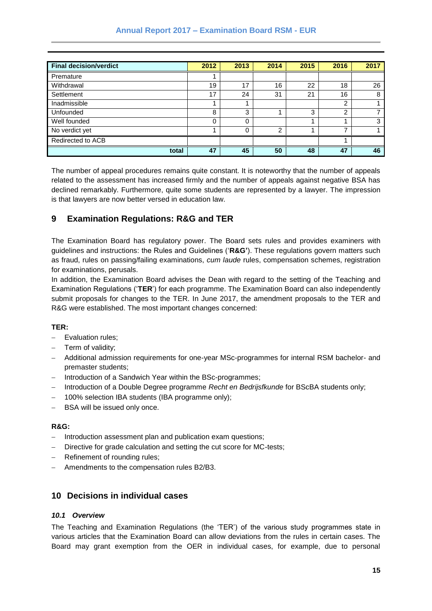| <b>Final decision/verdict</b> | 2012 | 2013     | 2014 | 2015 | 2016           | 2017 |
|-------------------------------|------|----------|------|------|----------------|------|
| Premature                     |      |          |      |      |                |      |
| Withdrawal                    | 19   | 17       | 16   | 22   | 18             | 26   |
| Settlement                    | 17   | 24       | 31   | 21   | 16             | 8    |
| Inadmissible                  |      |          |      |      | 2              |      |
| Unfounded                     | 8    | 3        |      | 3    | $\overline{2}$ |      |
| Well founded                  | 0    | $\Omega$ |      |      | 4              | 3    |
| No verdict yet                |      | $\Omega$ | C    |      | ⇁              |      |
| Redirected to ACB             |      |          |      |      |                |      |
| total                         | 47   | 45       | 50   | 48   | 47             | 46   |

The number of appeal procedures remains quite constant. It is noteworthy that the number of appeals related to the assessment has increased firmly and the number of appeals against negative BSA has declined remarkably. Furthermore, quite some students are represented by a lawyer. The impression is that lawyers are now better versed in education law.

## <span id="page-14-0"></span>**9 Examination Regulations: R&G and TER**

The Examination Board has regulatory power. The Board sets rules and provides examiners with guidelines and instructions: the Rules and Guidelines ('**R&G'**). These regulations govern matters such as fraud, rules on passing/failing examinations, *cum laude* rules, compensation schemes, registration for examinations, perusals.

In addition, the Examination Board advises the Dean with regard to the setting of the Teaching and Examination Regulations ('**TER**') for each programme. The Examination Board can also independently submit proposals for changes to the TER. In June 2017, the amendment proposals to the TER and R&G were established. The most important changes concerned:

#### **TER:**

- Evaluation rules;
- $-$  Term of validity;
- Additional admission requirements for one-year MSc-programmes for internal RSM bachelor- and premaster students;
- Introduction of a Sandwich Year within the BSc-programmes;
- Introduction of a Double Degree programme *Recht en Bedrijsfkunde* for BScBA students only;
- 100% selection IBA students (IBA programme only);
- BSA will be issued only once.

#### **R&G:**

- Introduction assessment plan and publication exam questions;
- Directive for grade calculation and setting the cut score for MC-tests;
- Refinement of rounding rules;
- Amendments to the compensation rules B2/B3.

#### <span id="page-14-1"></span>**10 Decisions in individual cases**

#### <span id="page-14-2"></span>*10.1 Overview*

The Teaching and Examination Regulations (the 'TER') of the various study programmes state in various articles that the Examination Board can allow deviations from the rules in certain cases. The Board may grant exemption from the OER in individual cases, for example, due to personal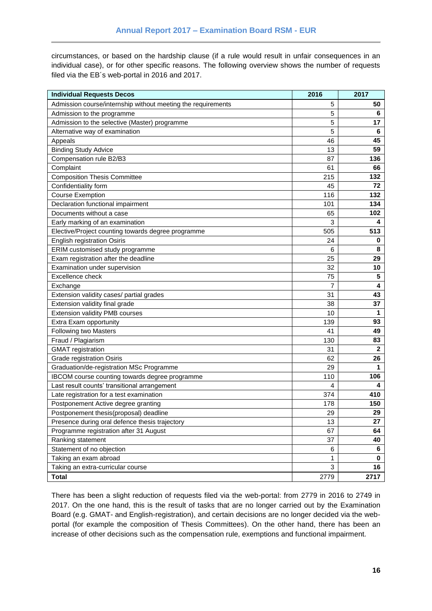circumstances, or based on the hardship clause (if a rule would result in unfair consequences in an individual case), or for other specific reasons. The following overview shows the number of requests filed via the EB´s web-portal in 2016 and 2017.

| <b>Individual Requests Decos</b>                             | 2016 | 2017         |
|--------------------------------------------------------------|------|--------------|
| Admission course/internship without meeting the requirements | 5    | 50           |
| Admission to the programme                                   | 5    | 6            |
| Admission to the selective (Master) programme                | 5    | 17           |
| Alternative way of examination                               | 5    | 6            |
| Appeals                                                      | 46   | 45           |
| <b>Binding Study Advice</b>                                  | 13   | 59           |
| Compensation rule B2/B3                                      | 87   | 136          |
| Complaint                                                    | 61   | 66           |
| <b>Composition Thesis Committee</b>                          | 215  | 132          |
| Confidentiality form                                         | 45   | 72           |
| <b>Course Exemption</b>                                      | 116  | 132          |
| Declaration functional impairment                            | 101  | 134          |
| Documents without a case                                     | 65   | 102          |
| Early marking of an examination                              | 3    | 4            |
| Elective/Project counting towards degree programme           | 505  | 513          |
| <b>English registration Osiris</b>                           | 24   | 0            |
| ERIM customised study programme                              | 6    | 8            |
| Exam registration after the deadline                         | 25   | 29           |
| Examination under supervision                                | 32   | 10           |
| Excellence check                                             | 75   | 5            |
| Exchange                                                     | 7    | 4            |
| Extension validity cases/ partial grades                     | 31   | 43           |
| Extension validity final grade                               | 38   | 37           |
| <b>Extension validity PMB courses</b>                        | 10   | 1            |
| Extra Exam opportunity                                       | 139  | 93           |
| Following two Masters                                        | 41   | 49           |
| Fraud / Plagiarism                                           | 130  | 83           |
| <b>GMAT</b> registration                                     | 31   | $\mathbf{2}$ |
| Grade registration Osiris                                    | 62   | 26           |
| Graduation/de-registration MSc Programme                     | 29   | 1            |
| IBCOM course counting towards degree programme               | 110  | 106          |
| Last result counts' transitional arrangement                 | 4    | 4            |
| Late registration for a test examination                     | 374  | 410          |
| Postponement Active degree granting                          | 178  | 150          |
| Postponement thesis(proposal) deadline                       | 29   | 29           |
| Presence during oral defence thesis trajectory               | 13   | 27           |
| Programme registration after 31 August                       | 67   | 64           |
| Ranking statement                                            | 37   | 40           |
| Statement of no objection                                    | 6    | 6            |
| Taking an exam abroad                                        | 1    | 0            |
| Taking an extra-curricular course                            | 3    | 16           |
| <b>Total</b>                                                 | 2779 | 2717         |

There has been a slight reduction of requests filed via the web-portal: from 2779 in 2016 to 2749 in 2017. On the one hand, this is the result of tasks that are no longer carried out by the Examination Board (e.g. GMAT- and English-registration), and certain decisions are no longer decided via the webportal (for example the composition of Thesis Committees). On the other hand, there has been an increase of other decisions such as the compensation rule, exemptions and functional impairment.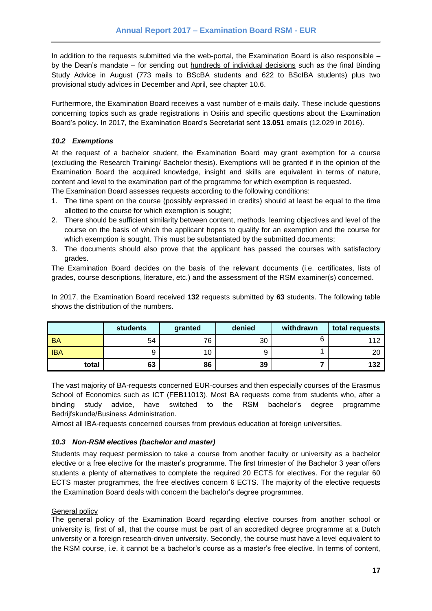In addition to the requests submitted via the web-portal, the Examination Board is also responsible – by the Dean's mandate – for sending out hundreds of individual decisions such as the final Binding Study Advice in August (773 mails to BScBA students and 622 to BScIBA students) plus two provisional study advices in December and April, see chapter 10.6.

Furthermore, the Examination Board receives a vast number of e-mails daily. These include questions concerning topics such as grade registrations in Osiris and specific questions about the Examination Board's policy. In 2017, the Examination Board's Secretariat sent **13.051** emails (12.029 in 2016).

#### <span id="page-16-0"></span>*10.2 Exemptions*

At the request of a bachelor student, the Examination Board may grant exemption for a course (excluding the Research Training/ Bachelor thesis). Exemptions will be granted if in the opinion of the Examination Board the acquired knowledge, insight and skills are equivalent in terms of nature, content and level to the examination part of the programme for which exemption is requested.

The Examination Board assesses requests according to the following conditions:

- 1. The time spent on the course (possibly expressed in credits) should at least be equal to the time allotted to the course for which exemption is sought;
- 2. There should be sufficient similarity between content, methods, learning objectives and level of the course on the basis of which the applicant hopes to qualify for an exemption and the course for which exemption is sought. This must be substantiated by the submitted documents;
- 3. The documents should also prove that the applicant has passed the courses with satisfactory grades.

The Examination Board decides on the basis of the relevant documents (i.e. certificates, lists of grades, course descriptions, literature, etc.) and the assessment of the RSM examiner(s) concerned.

In 2017, the Examination Board received **132** requests submitted by **63** students. The following table shows the distribution of the numbers.

|            | students | granted | denied | withdrawn | total requests |
|------------|----------|---------|--------|-----------|----------------|
| <b>BA</b>  | 54       | 76      | 30     |           | 112            |
| <b>IBA</b> |          | 10      | 9      |           | 20             |
| total      | 63       | 86      | 39     |           | 132            |

The vast majority of BA-requests concerned EUR-courses and then especially courses of the Erasmus School of Economics such as ICT (FEB11013). Most BA requests come from students who, after a binding study advice, have switched to the RSM bachelor's degree programme Bedrijfskunde/Business Administration.

Almost all IBA-requests concerned courses from previous education at foreign universities.

#### <span id="page-16-1"></span>*10.3 Non-RSM electives (bachelor and master)*

Students may request permission to take a course from another faculty or university as a bachelor elective or a free elective for the master's programme. The first trimester of the Bachelor 3 year offers students a plenty of alternatives to complete the required 20 ECTS for electives. For the regular 60 ECTS master programmes, the free electives concern 6 ECTS. The majority of the elective requests the Examination Board deals with concern the bachelor's degree programmes.

#### General policy

The general policy of the Examination Board regarding elective courses from another school or university is, first of all, that the course must be part of an accredited degree programme at a Dutch university or a foreign research-driven university. Secondly, the course must have a level equivalent to the RSM course, i.e. it cannot be a bachelor's course as a master's free elective. In terms of content,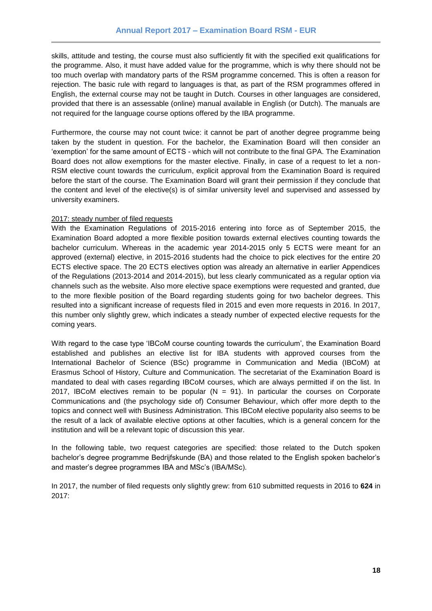skills, attitude and testing, the course must also sufficiently fit with the specified exit qualifications for the programme. Also, it must have added value for the programme, which is why there should not be too much overlap with mandatory parts of the RSM programme concerned. This is often a reason for rejection. The basic rule with regard to languages is that, as part of the RSM programmes offered in English, the external course may not be taught in Dutch. Courses in other languages are considered, provided that there is an assessable (online) manual available in English (or Dutch). The manuals are not required for the language course options offered by the IBA programme.

Furthermore, the course may not count twice: it cannot be part of another degree programme being taken by the student in question. For the bachelor, the Examination Board will then consider an 'exemption' for the same amount of ECTS - which will not contribute to the final GPA. The Examination Board does not allow exemptions for the master elective. Finally, in case of a request to let a non-RSM elective count towards the curriculum, explicit approval from the Examination Board is required before the start of the course. The Examination Board will grant their permission if they conclude that the content and level of the elective(s) is of similar university level and supervised and assessed by university examiners.

#### 2017: steady number of filed requests

With the Examination Regulations of 2015-2016 entering into force as of September 2015, the Examination Board adopted a more flexible position towards external electives counting towards the bachelor curriculum. Whereas in the academic year 2014-2015 only 5 ECTS were meant for an approved (external) elective, in 2015-2016 students had the choice to pick electives for the entire 20 ECTS elective space. The 20 ECTS electives option was already an alternative in earlier Appendices of the Regulations (2013-2014 and 2014-2015), but less clearly communicated as a regular option via channels such as the website. Also more elective space exemptions were requested and granted, due to the more flexible position of the Board regarding students going for two bachelor degrees. This resulted into a significant increase of requests filed in 2015 and even more requests in 2016. In 2017, this number only slightly grew, which indicates a steady number of expected elective requests for the coming years.

With regard to the case type 'IBCoM course counting towards the curriculum', the Examination Board established and publishes an elective list for IBA students with approved courses from the International Bachelor of Science (BSc) programme in Communication and Media (IBCoM) at Erasmus School of History, Culture and Communication. The secretariat of the Examination Board is mandated to deal with cases regarding IBCoM courses, which are always permitted if on the list. In 2017, IBCoM electives remain to be popular ( $N = 91$ ). In particular the courses on Corporate Communications and (the psychology side of) Consumer Behaviour, which offer more depth to the topics and connect well with Business Administration. This IBCoM elective popularity also seems to be the result of a lack of available elective options at other faculties, which is a general concern for the institution and will be a relevant topic of discussion this year.

In the following table, two request categories are specified: those related to the Dutch spoken bachelor's degree programme Bedrijfskunde (BA) and those related to the English spoken bachelor's and master's degree programmes IBA and MSc's (IBA/MSc).

In 2017, the number of filed requests only slightly grew: from 610 submitted requests in 2016 to **624** in 2017: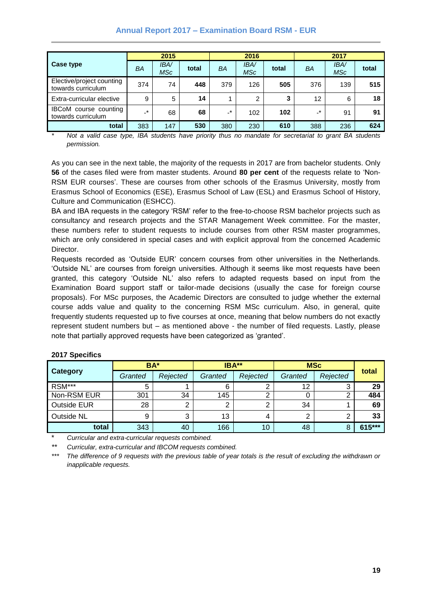#### **Annual Report 2017 – Examination Board RSM - EUR**

|                                                    | 2015        |                    |       | 2016           |                   |       | 2017         |                   |       |
|----------------------------------------------------|-------------|--------------------|-------|----------------|-------------------|-------|--------------|-------------------|-------|
| Case type                                          | BA          | <b>IBA/</b><br>MSc | total | BA             | <b>IBA</b><br>MSc | total | BA           | <b>IBA</b><br>MSc | total |
| Elective/project counting<br>towards curriculum    | 374         | 74                 | 448   | 379            | 126               | 505   | 376          | 139               | 515   |
| Extra-curricular elective                          | 9           | 5                  | 14    |                | 2                 | 3     | 12           | 6                 | 18    |
| <b>IBCoM</b> course counting<br>towards curriculum | $\ast$<br>÷ | 68                 | 68    | $\mathbf{r}^*$ | 102               | 102   | $\mathbf{r}$ | 91                | 91    |
| total                                              | 383         | 147                | 530   | 380            | 230               | 610   | 388          | 236               | 624   |

*\* Not a valid case type, IBA students have priority thus no mandate for secretariat to grant BA students permission.*

As you can see in the next table, the majority of the requests in 2017 are from bachelor students. Only **56** of the cases filed were from master students. Around **80 per cent** of the requests relate to 'Non-RSM EUR courses'. These are courses from other schools of the Erasmus University, mostly from Erasmus School of Economics (ESE), Erasmus School of Law (ESL) and Erasmus School of History, Culture and Communication (ESHCC).

BA and IBA requests in the category 'RSM' refer to the free-to-choose RSM bachelor projects such as consultancy and research projects and the STAR Management Week committee. For the master, these numbers refer to student requests to include courses from other RSM master programmes, which are only considered in special cases and with explicit approval from the concerned Academic Director.

Requests recorded as 'Outside EUR' concern courses from other universities in the Netherlands. 'Outside NL' are courses from foreign universities. Although it seems like most requests have been granted, this category 'Outside NL' also refers to adapted requests based on input from the Examination Board support staff or tailor-made decisions (usually the case for foreign course proposals). For MSc purposes, the Academic Directors are consulted to judge whether the external course adds value and quality to the concerning RSM MSc curriculum. Also, in general, quite frequently students requested up to five courses at once, meaning that below numbers do not exactly represent student numbers but – as mentioned above - the number of filed requests. Lastly, please note that partially approved requests have been categorized as 'granted'.

|                    | BA*     |          | IBA**   |                 | <b>MSc</b> |          |        |
|--------------------|---------|----------|---------|-----------------|------------|----------|--------|
| <b>Category</b>    | Granted | Rejected | Granted | Rejected        | Granted    | Rejected | total  |
| RSM***             | 5       |          | 6       | ⌒               | 12         | w        | 29     |
| Non-RSM EUR        | 301     | 34       | 145     | ົ               |            |          | 484    |
| <b>Outside EUR</b> | 28      | ົ        | C       | ⌒               | 34         |          | 69     |
| Outside NL         | 9       | 3        | 13      |                 | 2          |          | 33     |
| total              | 343     | 40       | 166     | 10 <sup>°</sup> | 48         |          | 615*** |

#### **2017 Specifics**

\* *Curricular and extra-curricular requests combined.*

*\*\* Curricular, extra-curricular and IBCOM requests combined.*

*\*\*\* The difference of 9 requests with the previous table of year totals is the result of excluding the withdrawn or inapplicable requests.*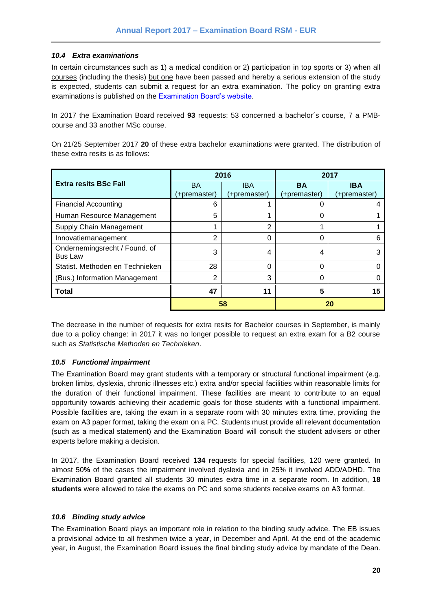#### <span id="page-19-0"></span>*10.4 Extra examinations*

In certain circumstances such as 1) a medical condition or 2) participation in top sports or 3) when all courses (including the thesis) but one have been passed and hereby a serious extension of the study is expected, students can submit a request for an extra examination. The policy on granting extra examinations is published on the [Examination Board's website.](https://www.rsm.nl/examination-board/requests/extra-examinations/)

In 2017 the Examination Board received **93** requests: 53 concerned a bachelor´s course, 7 a PMBcourse and 33 another MSc course.

On 21/25 September 2017 **20** of these extra bachelor examinations were granted. The distribution of these extra resits is as follows:

|                                 |              | 2016         | 2017         |              |  |
|---------------------------------|--------------|--------------|--------------|--------------|--|
| <b>Extra resits BSc Fall</b>    | <b>BA</b>    | <b>IBA</b>   | <b>BA</b>    | <b>IBA</b>   |  |
|                                 | (+premaster) | (+premaster) | (+premaster) | (+premaster) |  |
| <b>Financial Accounting</b>     | 6            |              |              |              |  |
| Human Resource Management       | 5            |              |              |              |  |
| Supply Chain Management         | 2            |              |              |              |  |
| Innovatiemanagement             | 2            |              | 0            |              |  |
| Ondernemingsrecht / Found. of   | 3            | 4            | 4            |              |  |
| <b>Bus Law</b>                  |              |              |              |              |  |
| Statist, Methoden en Technieken | 28           | ∩            | 0            |              |  |
| (Bus.) Information Management   | 2            | 3            | 0            |              |  |
| <b>Total</b>                    | 47           | 11           | 5            |              |  |
|                                 |              | 58           | 20           |              |  |

The decrease in the number of requests for extra resits for Bachelor courses in September, is mainly due to a policy change: in 2017 it was no longer possible to request an extra exam for a B2 course such as *Statistische Methoden en Technieken*.

#### <span id="page-19-1"></span>*10.5 Functional impairment*

The Examination Board may grant students with a temporary or structural functional impairment (e.g. broken limbs, dyslexia, chronic illnesses etc.) extra and/or special facilities within reasonable limits for the duration of their functional impairment. These facilities are meant to contribute to an equal opportunity towards achieving their academic goals for those students with a functional impairment. Possible facilities are, taking the exam in a separate room with 30 minutes extra time, providing the exam on A3 paper format, taking the exam on a PC. Students must provide all relevant documentation (such as a medical statement) and the Examination Board will consult the student advisers or other experts before making a decision.

In 2017, the Examination Board received **134** requests for special facilities, 120 were granted. In almost 50**%** of the cases the impairment involved dyslexia and in 25% it involved ADD/ADHD. The Examination Board granted all students 30 minutes extra time in a separate room. In addition, **18 students** were allowed to take the exams on PC and some students receive exams on A3 format.

#### <span id="page-19-2"></span>*10.6 Binding study advice*

The Examination Board plays an important role in relation to the binding study advice. The EB issues a provisional advice to all freshmen twice a year, in December and April. At the end of the academic year, in August, the Examination Board issues the final binding study advice by mandate of the Dean.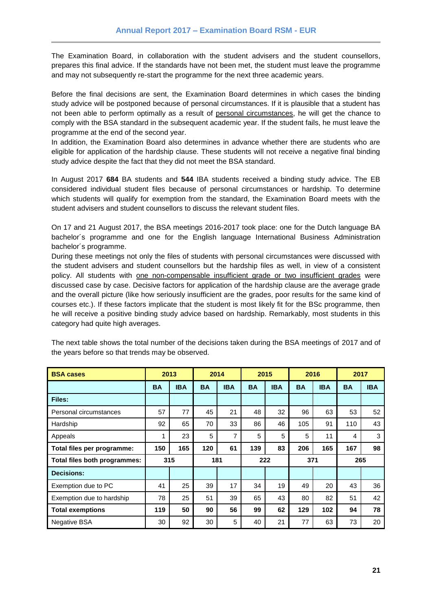The Examination Board, in collaboration with the student advisers and the student counsellors, prepares this final advice. If the standards have not been met, the student must leave the programme and may not subsequently re-start the programme for the next three academic years.

Before the final decisions are sent, the Examination Board determines in which cases the binding study advice will be postponed because of personal circumstances. If it is plausible that a student has not been able to perform optimally as a result of personal circumstances, he will get the chance to comply with the BSA standard in the subsequent academic year. If the student fails, he must leave the programme at the end of the second year.

In addition, the Examination Board also determines in advance whether there are students who are eligible for application of the hardship clause. These students will not receive a negative final binding study advice despite the fact that they did not meet the BSA standard.

In August 2017 **684** BA students and **544** IBA students received a binding study advice. The EB considered individual student files because of personal circumstances or hardship. To determine which students will qualify for exemption from the standard, the Examination Board meets with the student advisers and student counsellors to discuss the relevant student files.

On 17 and 21 August 2017, the BSA meetings 2016-2017 took place: one for the Dutch language BA bachelor´s programme and one for the English language International Business Administration bachelor´s programme.

During these meetings not only the files of students with personal circumstances were discussed with the student advisers and student counsellors but the hardship files as well, in view of a consistent policy. All students with <u>one non-compensable insufficient grade</u> or two insufficient grades were discussed case by case. Decisive factors for application of the hardship clause are the average grade and the overall picture (like how seriously insufficient are the grades, poor results for the same kind of courses etc.). If these factors implicate that the student is most likely fit for the BSc programme, then he will receive a positive binding study advice based on hardship. Remarkably, most students in this category had quite high averages.

| <b>BSA cases</b>             | 2013      |            |            | 2014       | 2015      |            | 2016      |            | 2017      |            |
|------------------------------|-----------|------------|------------|------------|-----------|------------|-----------|------------|-----------|------------|
|                              | <b>BA</b> | <b>IBA</b> | <b>BA</b>  | <b>IBA</b> | <b>BA</b> | <b>IBA</b> | <b>BA</b> | <b>IBA</b> | <b>BA</b> | <b>IBA</b> |
| Files:                       |           |            |            |            |           |            |           |            |           |            |
| Personal circumstances       | 57        | 77         | 45         | 21         | 48        | 32         | 96        | 63         | 53        | 52         |
| Hardship                     | 92        | 65         | 70         | 33         | 86        | 46         | 105       | 91         | 110       | 43         |
| Appeals                      | 1         | 23         | 5          | 7          | 5         | 5          | 5         | 11         | 4         | 3          |
| Total files per programme:   | 150       | 165        | 120        | 61         | 139       | 83         | 206       | 165        | 167       | 98         |
| Total files both programmes: |           | 315        | 181<br>222 |            | 371       |            | 265       |            |           |            |
| <b>Decisions:</b>            |           |            |            |            |           |            |           |            |           |            |
| Exemption due to PC          | 41        | 25         | 39         | 17         | 34        | 19         | 49        | 20         | 43        | 36         |
| Exemption due to hardship    | 78        | 25         | 51         | 39         | 65        | 43         | 80        | 82         | 51        | 42         |
| <b>Total exemptions</b>      | 119       | 50         | 90         | 56         | 99        | 62         | 129       | 102        | 94        | 78         |
| <b>Negative BSA</b>          | 30        | 92         | 30         | 5          | 40        | 21         | 77        | 63         | 73        | 20         |

The next table shows the total number of the decisions taken during the BSA meetings of 2017 and of the years before so that trends may be observed.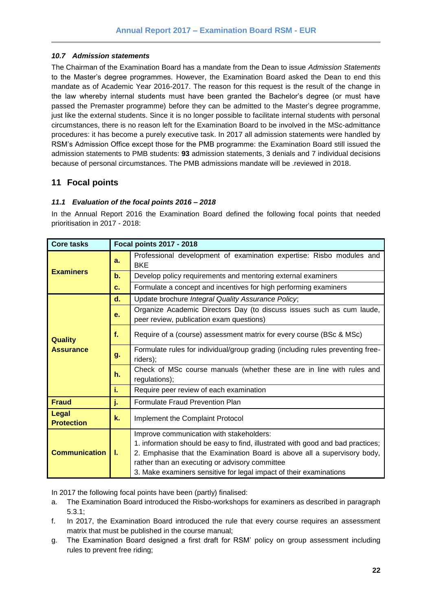#### <span id="page-21-0"></span>*10.7 Admission statements*

The Chairman of the Examination Board has a mandate from the Dean to issue *Admission Statements* to the Master's degree programmes. However, the Examination Board asked the Dean to end this mandate as of Academic Year 2016-2017. The reason for this request is the result of the change in the law whereby internal students must have been granted the Bachelor's degree (or must have passed the Premaster programme) before they can be admitted to the Master's degree programme, just like the external students. Since it is no longer possible to facilitate internal students with personal circumstances, there is no reason left for the Examination Board to be involved in the MSc-admittance procedures: it has become a purely executive task. In 2017 all admission statements were handled by RSM's Admission Office except those for the PMB programme: the Examination Board still issued the admission statements to PMB students: **93** admission statements, 3 denials and 7 individual decisions because of personal circumstances. The PMB admissions mandate will be .reviewed in 2018.

## <span id="page-21-1"></span>**11 Focal points**

#### <span id="page-21-2"></span>*11.1 Evaluation of the focal points 2016 – 2018*

In the Annual Report 2016 the Examination Board defined the following focal points that needed prioritisation in 2017 - 2018:

| <b>Core tasks</b>                  | <b>Focal points 2017 - 2018</b>                                                                                                                                                                                                                                                                                                       |                                                                                                                   |  |  |  |  |  |  |  |  |
|------------------------------------|---------------------------------------------------------------------------------------------------------------------------------------------------------------------------------------------------------------------------------------------------------------------------------------------------------------------------------------|-------------------------------------------------------------------------------------------------------------------|--|--|--|--|--|--|--|--|
|                                    | a.                                                                                                                                                                                                                                                                                                                                    | Professional development of examination expertise: Risbo modules and<br><b>BKE</b>                                |  |  |  |  |  |  |  |  |
| <b>Examiners</b>                   | b.                                                                                                                                                                                                                                                                                                                                    | Develop policy requirements and mentoring external examiners                                                      |  |  |  |  |  |  |  |  |
|                                    | $c_{-}$                                                                                                                                                                                                                                                                                                                               | Formulate a concept and incentives for high performing examiners                                                  |  |  |  |  |  |  |  |  |
|                                    | d.                                                                                                                                                                                                                                                                                                                                    | Update brochure Integral Quality Assurance Policy;                                                                |  |  |  |  |  |  |  |  |
| <b>Quality</b><br><b>Assurance</b> | е.                                                                                                                                                                                                                                                                                                                                    | Organize Academic Directors Day (to discuss issues such as cum laude,<br>peer review, publication exam questions) |  |  |  |  |  |  |  |  |
|                                    | f.                                                                                                                                                                                                                                                                                                                                    | Require of a (course) assessment matrix for every course (BSc & MSc)                                              |  |  |  |  |  |  |  |  |
|                                    | g.                                                                                                                                                                                                                                                                                                                                    | Formulate rules for individual/group grading (including rules preventing free-<br>riders);                        |  |  |  |  |  |  |  |  |
|                                    | h.                                                                                                                                                                                                                                                                                                                                    | Check of MSc course manuals (whether these are in line with rules and<br>regulations);                            |  |  |  |  |  |  |  |  |
|                                    | i.                                                                                                                                                                                                                                                                                                                                    | Require peer review of each examination                                                                           |  |  |  |  |  |  |  |  |
| <b>Fraud</b>                       | j.                                                                                                                                                                                                                                                                                                                                    | Formulate Fraud Prevention Plan                                                                                   |  |  |  |  |  |  |  |  |
| <b>Legal</b><br><b>Protection</b>  | k.                                                                                                                                                                                                                                                                                                                                    | Implement the Complaint Protocol                                                                                  |  |  |  |  |  |  |  |  |
| <b>Communication</b>               | Improve communication with stakeholders:<br>1. information should be easy to find, illustrated with good and bad practices;<br>2. Emphasise that the Examination Board is above all a supervisory body,<br>L.<br>rather than an executing or advisory committee<br>3. Make examiners sensitive for legal impact of their examinations |                                                                                                                   |  |  |  |  |  |  |  |  |

In 2017 the following focal points have been (partly) finalised:

- a. The Examination Board introduced the Risbo-workshops for examiners as described in paragraph 5.3.1;
- f. In 2017, the Examination Board introduced the rule that every course requires an assessment matrix that must be published in the course manual;
- g. The Examination Board designed a first draft for RSM' policy on group assessment including rules to prevent free riding;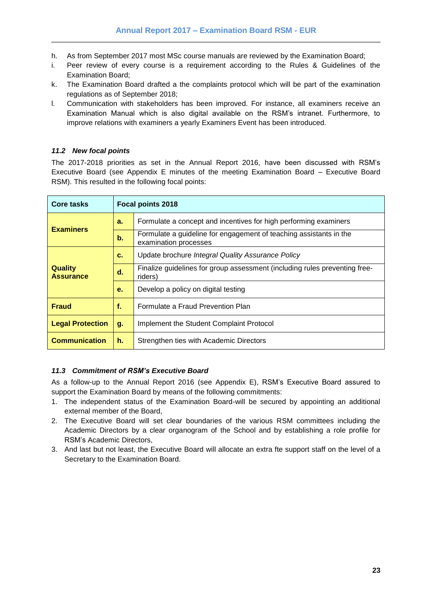- h. As from September 2017 most MSc course manuals are reviewed by the Examination Board;
- i. Peer review of every course is a requirement according to the Rules & Guidelines of the Examination Board;
- k. The Examination Board drafted a the complaints protocol which will be part of the examination regulations as of September 2018;
- l. Communication with stakeholders has been improved. For instance, all examiners receive an Examination Manual which is also digital available on the RSM's intranet. Furthermore, to improve relations with examiners a yearly Examiners Event has been introduced.

#### <span id="page-22-0"></span>*11.2 New focal points*

The 2017-2018 priorities as set in the Annual Report 2016, have been discussed with RSM's Executive Board (see Appendix E minutes of the meeting Examination Board – Executive Board RSM). This resulted in the following focal points:

| Core tasks                         | <b>Focal points 2018</b> |                                                                                             |  |  |  |  |
|------------------------------------|--------------------------|---------------------------------------------------------------------------------------------|--|--|--|--|
| <b>Examiners</b>                   | a.                       | Formulate a concept and incentives for high performing examiners                            |  |  |  |  |
|                                    | $\mathbf b$ .            | Formulate a guideline for engagement of teaching assistants in the<br>examination processes |  |  |  |  |
|                                    | c.                       | Update brochure Integral Quality Assurance Policy                                           |  |  |  |  |
| <b>Quality</b><br><b>Assurance</b> | d.                       | Finalize guidelines for group assessment (including rules preventing free-<br>riders)       |  |  |  |  |
|                                    | е.                       | Develop a policy on digital testing                                                         |  |  |  |  |
| <b>Fraud</b>                       | f.                       | Formulate a Fraud Prevention Plan                                                           |  |  |  |  |
| <b>Legal Protection</b>            | g.                       | Implement the Student Complaint Protocol                                                    |  |  |  |  |
| <b>Communication</b>               | h.                       | Strengthen ties with Academic Directors                                                     |  |  |  |  |

#### <span id="page-22-1"></span>*11.3 Commitment of RSM's Executive Board*

As a follow-up to the Annual Report 2016 (see Appendix E), RSM's Executive Board assured to support the Examination Board by means of the following commitments:

- 1. The independent status of the Examination Board-will be secured by appointing an additional external member of the Board,
- 2. The Executive Board will set clear boundaries of the various RSM committees including the Academic Directors by a clear organogram of the School and by establishing a role profile for RSM's Academic Directors,
- 3. And last but not least, the Executive Board will allocate an extra fte support staff on the level of a Secretary to the Examination Board.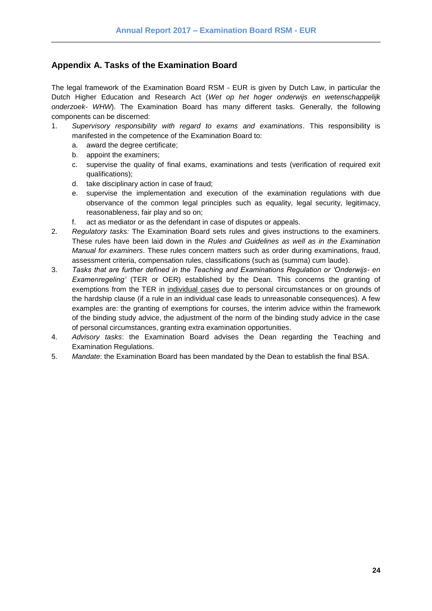## <span id="page-23-0"></span>**Appendix A. Tasks of the Examination Board**

The legal framework of the Examination Board RSM - EUR is given by Dutch Law, in particular the Dutch Higher Education and Research Act (*Wet op het hoger onderwijs en wetenschappelijk onderzoek- WHW*). The Examination Board has many different tasks. Generally, the following components can be discerned:

- 1. *Supervisory responsibility with regard to exams and examinations*. This responsibility is manifested in the competence of the Examination Board to:
	- a. award the degree certificate;
	- b. appoint the examiners;
	- c. supervise the quality of final exams, examinations and tests (verification of required exit qualifications);
	- d. take disciplinary action in case of fraud;
	- e. supervise the implementation and execution of the examination regulations with due observance of the common legal principles such as equality, legal security, legitimacy, reasonableness, fair play and so on;
	- f. act as mediator or as the defendant in case of disputes or appeals.
- 2. *Regulatory tasks:* The Examination Board sets rules and gives instructions to the examiners. These rules have been laid down in the *Rules and Guidelines as well as in the Examination Manual for examiners*. These rules concern matters such as order during examinations, fraud, assessment criteria, compensation rules, classifications (such as (summa) cum laude).
- 3. *Tasks that are further defined in the Teaching and Examinations Regulation or 'Onderwijs- en Examenregeling'* (TER or OER) established by the Dean. This concerns the granting of exemptions from the TER in individual cases due to personal circumstances or on grounds of the hardship clause (if a rule in an individual case leads to unreasonable consequences). A few examples are: the granting of exemptions for courses, the interim advice within the framework of the binding study advice, the adjustment of the norm of the binding study advice in the case of personal circumstances, granting extra examination opportunities.
- 4. *Advisory tasks*: the Examination Board advises the Dean regarding the Teaching and Examination Regulations.
- 5. *Mandate*: the Examination Board has been mandated by the Dean to establish the final BSA.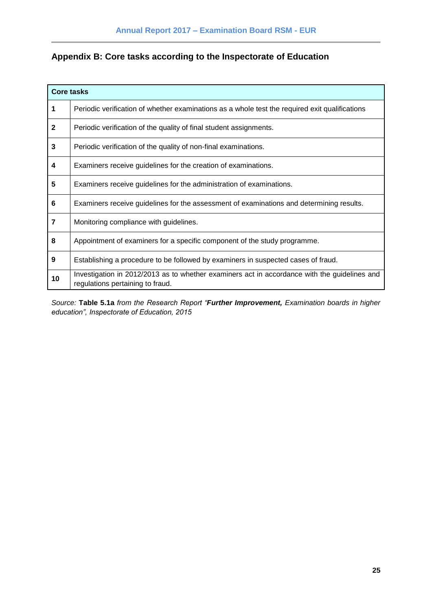## <span id="page-24-0"></span>**Appendix B: Core tasks according to the Inspectorate of Education**

|                         | <b>Core tasks</b>                                                                                                                |
|-------------------------|----------------------------------------------------------------------------------------------------------------------------------|
| 1                       | Periodic verification of whether examinations as a whole test the required exit qualifications                                   |
| $\mathbf{2}$            | Periodic verification of the quality of final student assignments.                                                               |
| 3                       | Periodic verification of the quality of non-final examinations.                                                                  |
| 4                       | Examiners receive guidelines for the creation of examinations.                                                                   |
| 5                       | Examiners receive guidelines for the administration of examinations.                                                             |
| 6                       | Examiners receive guidelines for the assessment of examinations and determining results.                                         |
| $\overline{\mathbf{r}}$ | Monitoring compliance with guidelines.                                                                                           |
| 8                       | Appointment of examiners for a specific component of the study programme.                                                        |
| 9                       | Establishing a procedure to be followed by examiners in suspected cases of fraud.                                                |
| 10                      | Investigation in 2012/2013 as to whether examiners act in accordance with the guidelines and<br>regulations pertaining to fraud. |

*Source:* **Table 5.1a** *from the Research Report "Further Improvement, Examination boards in higher education", Inspectorate of Education, 2015*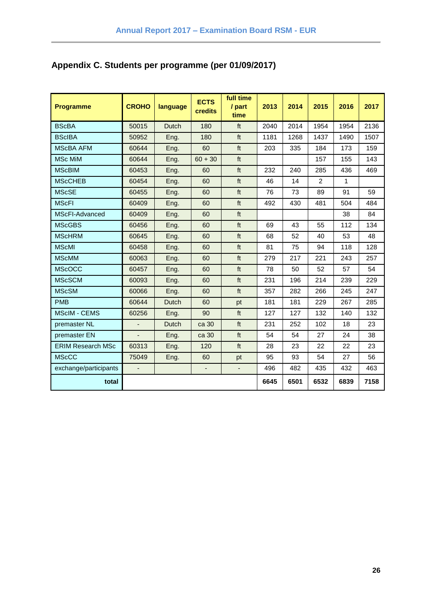## <span id="page-25-0"></span>**Appendix C. Students per programme (per 01/09/2017)**

| <b>Programme</b>         | <b>CROHO</b>   | language     | <b>ECTS</b><br>credits   | full time<br>/ part<br>time | 2013 | 2014 | 2015           | 2016 | 2017 |
|--------------------------|----------------|--------------|--------------------------|-----------------------------|------|------|----------------|------|------|
| <b>BScBA</b>             | 50015          | <b>Dutch</b> | 180                      | ft                          | 2040 | 2014 | 1954           | 1954 | 2136 |
| <b>BScIBA</b>            | 50952          | Eng.         | 180                      | ft                          | 1181 | 1268 | 1437           | 1490 | 1507 |
| <b>MScBA AFM</b>         | 60644          | Eng.         | 60                       | ft                          | 203  | 335  | 184            | 173  | 159  |
| <b>MSc MiM</b>           | 60644          | Eng.         | $60 + 30$                | ft                          |      |      | 157            | 155  | 143  |
| <b>MScBIM</b>            | 60453          | Eng.         | 60                       | ft                          | 232  | 240  | 285            | 436  | 469  |
| <b>MScCHEB</b>           | 60454          | Eng.         | 60                       | ft                          | 46   | 14   | $\overline{2}$ | 1    |      |
| <b>MScSE</b>             | 60455          | Eng.         | 60                       | ft                          | 76   | 73   | 89             | 91   | 59   |
| <b>MScFI</b>             | 60409          | Eng.         | 60                       | ft                          | 492  | 430  | 481            | 504  | 484  |
| MScFI-Advanced           | 60409          | Eng.         | 60                       | ft                          |      |      |                | 38   | 84   |
| <b>MScGBS</b>            | 60456          | Eng.         | 60                       | $\ensuremath{\mathsf{ft}}$  | 69   | 43   | 55             | 112  | 134  |
| <b>MScHRM</b>            | 60645          | Eng.         | 60                       | ft                          | 68   | 52   | 40             | 53   | 48   |
| <b>MScMI</b>             | 60458          | Eng.         | 60                       | ft                          | 81   | 75   | 94             | 118  | 128  |
| <b>MScMM</b>             | 60063          | Eng.         | 60                       | ft                          | 279  | 217  | 221            | 243  | 257  |
| <b>MScOCC</b>            | 60457          | Eng.         | 60                       | $\ensuremath{\mathsf{ft}}$  | 78   | 50   | 52             | 57   | 54   |
| <b>MScSCM</b>            | 60093          | Eng.         | 60                       | ft                          | 231  | 196  | 214            | 239  | 229  |
| <b>MScSM</b>             | 60066          | Eng.         | 60                       | ft                          | 357  | 282  | 266            | 245  | 247  |
| <b>PMB</b>               | 60644          | <b>Dutch</b> | 60                       | pt                          | 181  | 181  | 229            | 267  | 285  |
| <b>MScIM - CEMS</b>      | 60256          | Eng.         | 90                       | ft                          | 127  | 127  | 132            | 140  | 132  |
| premaster NL             |                | Dutch        | ca 30                    | ft                          | 231  | 252  | 102            | 18   | 23   |
| premaster EN             | $\overline{a}$ | Eng.         | ca 30                    | ft                          | 54   | 54   | 27             | 24   | 38   |
| <b>ERIM Research MSc</b> | 60313          | Eng.         | 120                      | $\ensuremath{\mathsf{ft}}$  | 28   | 23   | 22             | 22   | 23   |
| <b>MScCC</b>             | 75049          | Eng.         | 60                       | pt                          | 95   | 93   | 54             | 27   | 56   |
| exchange/participants    | $\overline{a}$ |              | $\overline{\phantom{a}}$ | ٠                           | 496  | 482  | 435            | 432  | 463  |
| total                    |                |              |                          |                             | 6645 | 6501 | 6532           | 6839 | 7158 |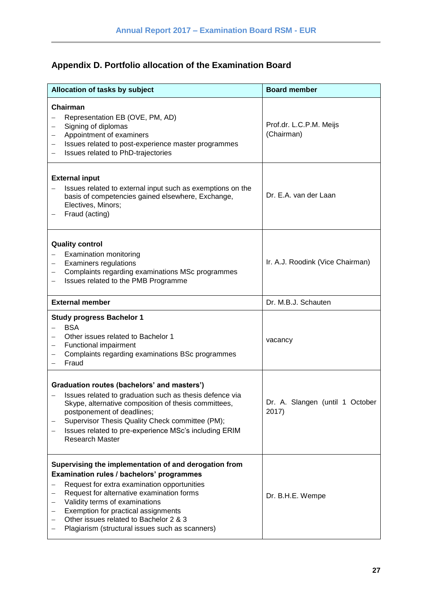## <span id="page-26-0"></span>**Appendix D. Portfolio allocation of the Examination Board**

| Allocation of tasks by subject                                                                                                                                                                                                                                                                                                                                       | <b>Board member</b>                      |
|----------------------------------------------------------------------------------------------------------------------------------------------------------------------------------------------------------------------------------------------------------------------------------------------------------------------------------------------------------------------|------------------------------------------|
| Chairman<br>Representation EB (OVE, PM, AD)<br>Signing of diplomas<br>Appointment of examiners<br>-<br>Issues related to post-experience master programmes<br>-<br>Issues related to PhD-trajectories<br>$\overline{\phantom{0}}$                                                                                                                                    | Prof.dr. L.C.P.M. Meijs<br>(Chairman)    |
| <b>External input</b><br>Issues related to external input such as exemptions on the<br>basis of competencies gained elsewhere, Exchange,<br>Electives, Minors;<br>Fraud (acting)                                                                                                                                                                                     | Dr. E.A. van der Laan                    |
| <b>Quality control</b><br><b>Examination monitoring</b><br><b>Examiners regulations</b><br>Complaints regarding examinations MSc programmes<br>Issues related to the PMB Programme                                                                                                                                                                                   | Ir. A.J. Roodink (Vice Chairman)         |
| <b>External member</b>                                                                                                                                                                                                                                                                                                                                               | Dr. M.B.J. Schauten                      |
| <b>Study progress Bachelor 1</b><br><b>BSA</b><br>$\overline{\phantom{0}}$<br>Other issues related to Bachelor 1<br>Functional impairment<br>Complaints regarding examinations BSc programmes<br>Fraud                                                                                                                                                               | vacancy                                  |
| Graduation routes (bachelors' and masters')<br>Issues related to graduation such as thesis defence via<br>Skype, alternative composition of thesis committees,<br>postponement of deadlines;<br>Supervisor Thesis Quality Check committee (PM);<br>Issues related to pre-experience MSc's including ERIM<br>Research Master                                          | Dr. A. Slangen (until 1 October<br>2017) |
| Supervising the implementation of and derogation from<br>Examination rules / bachelors' programmes<br>Request for extra examination opportunities<br>Request for alternative examination forms<br>Validity terms of examinations<br>Exemption for practical assignments<br>Other issues related to Bachelor 2 & 3<br>Plagiarism (structural issues such as scanners) | Dr. B.H.E. Wempe                         |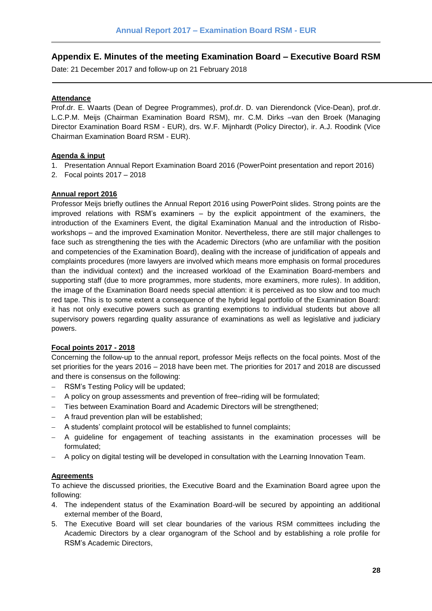## <span id="page-27-0"></span>**Appendix E. Minutes of the meeting Examination Board – Executive Board RSM**

Date: 21 December 2017 and follow-up on 21 February 2018

#### **Attendance**

Prof.dr. E. Waarts (Dean of Degree Programmes), prof.dr. D. van Dierendonck (Vice-Dean), prof.dr. L.C.P.M. Meijs (Chairman Examination Board RSM), mr. C.M. Dirks –van den Broek (Managing Director Examination Board RSM - EUR), drs. W.F. Mijnhardt (Policy Director), ir. A.J. Roodink (Vice Chairman Examination Board RSM - EUR).

#### **Agenda & input**

- 1. Presentation Annual Report Examination Board 2016 (PowerPoint presentation and report 2016)
- 2. Focal points 2017 2018

#### **Annual report 2016**

Professor Meijs briefly outlines the Annual Report 2016 using PowerPoint slides. Strong points are the improved relations with RSM's examiners – by the explicit appointment of the examiners, the introduction of the Examiners Event, the digital Examination Manual and the introduction of Risboworkshops – and the improved Examination Monitor. Nevertheless, there are still major challenges to face such as strengthening the ties with the Academic Directors (who are unfamiliar with the position and competencies of the Examination Board), dealing with the increase of juridification of appeals and complaints procedures (more lawyers are involved which means more emphasis on formal procedures than the individual context) and the increased workload of the Examination Board-members and supporting staff (due to more programmes, more students, more examiners, more rules). In addition, the image of the Examination Board needs special attention: it is perceived as too slow and too much red tape. This is to some extent a consequence of the hybrid legal portfolio of the Examination Board: it has not only executive powers such as granting exemptions to individual students but above all supervisory powers regarding quality assurance of examinations as well as legislative and judiciary powers.

#### **Focal points 2017 - 2018**

Concerning the follow-up to the annual report, professor Meijs reflects on the focal points. Most of the set priorities for the years 2016 – 2018 have been met. The priorities for 2017 and 2018 are discussed and there is consensus on the following:

- RSM's Testing Policy will be updated;
- A policy on group assessments and prevention of free–riding will be formulated;
- Ties between Examination Board and Academic Directors will be strengthened;
- A fraud prevention plan will be established;
- A students' complaint protocol will be established to funnel complaints;
- A guideline for engagement of teaching assistants in the examination processes will be formulated;
- A policy on digital testing will be developed in consultation with the Learning Innovation Team.

#### **Agreements**

To achieve the discussed priorities, the Executive Board and the Examination Board agree upon the following:

- 4. The independent status of the Examination Board-will be secured by appointing an additional external member of the Board,
- 5. The Executive Board will set clear boundaries of the various RSM committees including the Academic Directors by a clear organogram of the School and by establishing a role profile for RSM's Academic Directors,